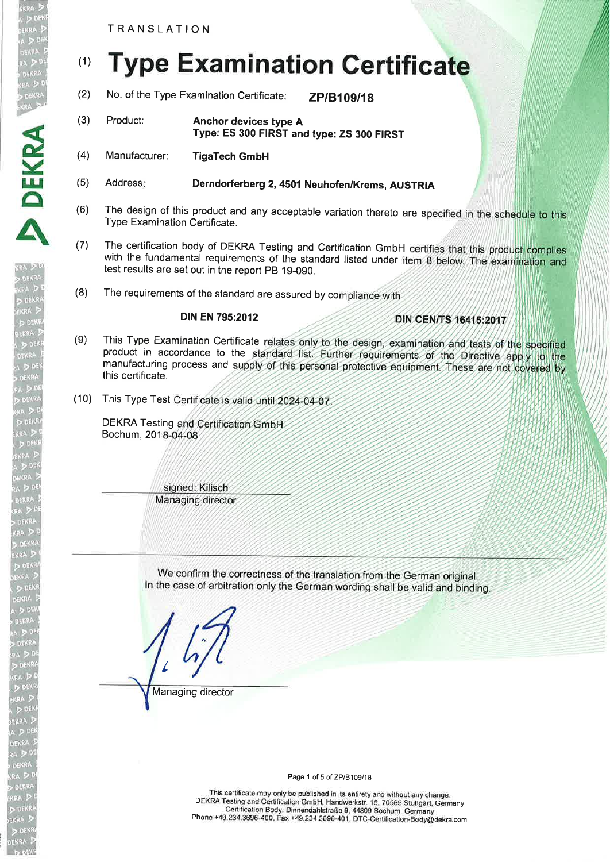# (1) **Type Examination Certificate**

- (2) No. of the Type Examination Certificate:  $ZP/B109/18$
- (3) Product: Anchor devices type A Type: ES 300 FIRST and type: ZS 300 FIRST
- (4) Manufacturer: TigaTech GmbH

DEKR<sub>v</sub>

A

- (5) Address: Derndorferberg 2, 4501 Neuhofen/Krems, AUSTRIA
- (6) The design of this product and any acceptable variation thereto are specified in the schedule to this Type Examination Certificate.
- (7) The certification body of DEKRA Testing and Certification GmbH certifies that this product complies with the fundamental requirements of the standard listed under item 8 below. The examination and test results are set out in the report PB 19-090.
- (8) The requirements of the standard are assured by compliance with

#### DIN EN 795:2012

## **DIN CEN/TS 16415:2017**

- (9) This Type Examination Certificate relates only to the design, examination and tests of the specified product in accordance to the standard list. Further requirements of the Directive apply to the manufacturing process and supply of this personal protective equipment. These are not covered by this certificate.
- (10) This Type Test Certificate is valid until 2024-04-07

DEKRA Testing and Certification GmbH Bochum, 201

> signed: Kilisch Managing director

We confirm the correctness of the translation from the German original. In the case of arbitration only the German wording shall be valid and binding.

I Managing director

Page 1 of 5 of ZP/B109/18

This certificate may only be published in its entirety and without any change. DEKRA Testing and Certification GmbH, Handwerkstr. 15, 70565 Stuttgart, Germany Certification Body: Dinnendahlstraße g, 44809 Bochum, Germany Phone +49.234.3696-400, Fax +49.234.3696-401, DTC-Certification\_Body@dekra.com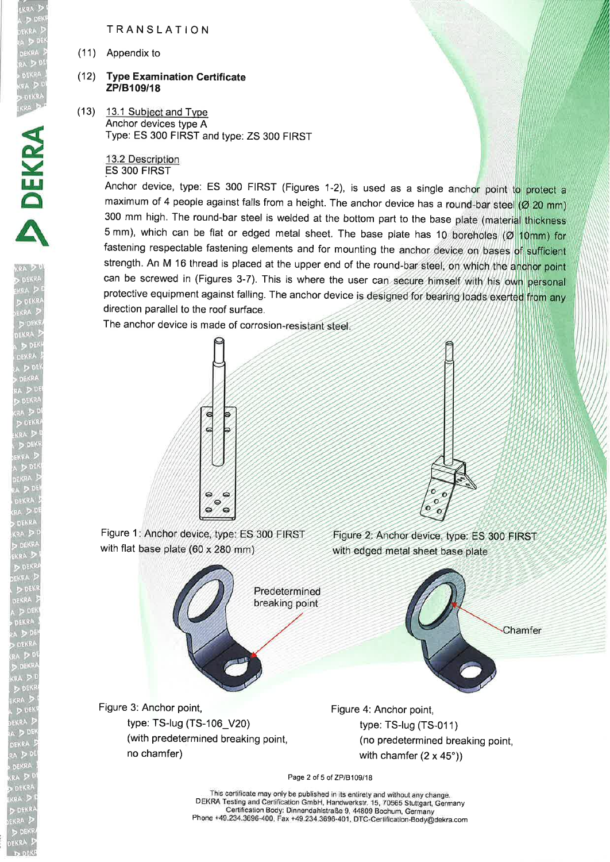(11) Appendix to

#### (12) **Type Examination Certificate** ZP/B109/18

 $(13)$  13.1 Subject and Type Anchor devices type A Type: ES 300 FIRST and type: ZS 300 FIRST

> 13.2 Description ES 3OO FIRST

Anchor device, type: ES 300 FIRST (Figures 1-2), is used as a single anchor point to protect a maximum of 4 people against falls from a height. The anchor device has a round-bar steel (Ø 20 mm) 300 mm high. The round-bar steel is welded at the bottom part to the base plate (material thickness 5 mm), which can be flat or edged metal sheet. The base plate has 10 boreholes  $(\emptyset$  10mm) for fastening respectable fastening elements and for mounting the anchor device on bases of sufficient strength. An M 16 thread is placed at the upper end of the round-bar steel, on which the anchor point can be screwed in (Figures 3-7). This is where the user can secure himself with his own personal protective equipment against falling. The anchor device is designed for bearing loads exerted from any direction parallel to the roof surface.

The anchor device is made of corrosion-resistant steel





Figure 1: Anchor device, type: ES 300 FIRST with flat base plate (60 x 280 mm)

Figure 2: Anchor device, type: ES 300 FIRST with edged metal sheet base plate



Page 2 of 5 of ZP/B109/18

This certificate may only be published in its entirety and without any change. DEKRA Testing and Certification GmbH, Handwerkstr. 15, 70565 Stuttgart, Germany Certification Body: Dinnendahlstraße g, 44809 Bochum, Germany Phone +49.234.3696-400, Fax +49.234.3696-401, DTC-Certification-Body@dekra.com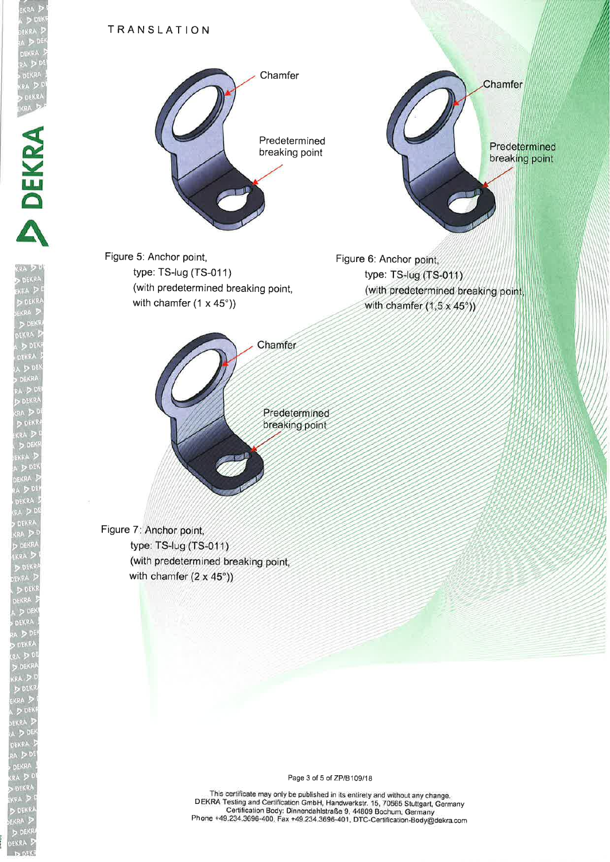ERRA<br>DIDEKRA<br>FKRA DIP

E

DEK

A



Figure 5: Anchor point, type: TS-lug (TS-01 1) (with predetermined breaking point, with chamfer (1 x 45°))

Figure 6: Anchor point, type: TS-lug (TS-011) (with predetermined breaking point, with chamfer  $(1.5 \times 45^{\circ})$ )

Chamfer

Predetermined breaking point

Predetermined breaking point

Chamfer

Figure 7: Anchor point, type: TS-lug (TS-011) (with predetermined breaking point, with chamfer  $(2 \times 45^{\circ})$ )

Page 3 of 5 of ZP/B109/18

\_ \_. This certificate may only be published in its entirety and without any change. DEKRA Testing and Certification GmbH, Handwerkstr. 1S, 70565 Stuttgart, Gärmany . Certification Body: Dinnendahlstraße g, 44g09 Bochum, Germany Phone +49.234.3696-400, Fax +49.234.3696-401, DTC-Certification\_Bodyödekra.com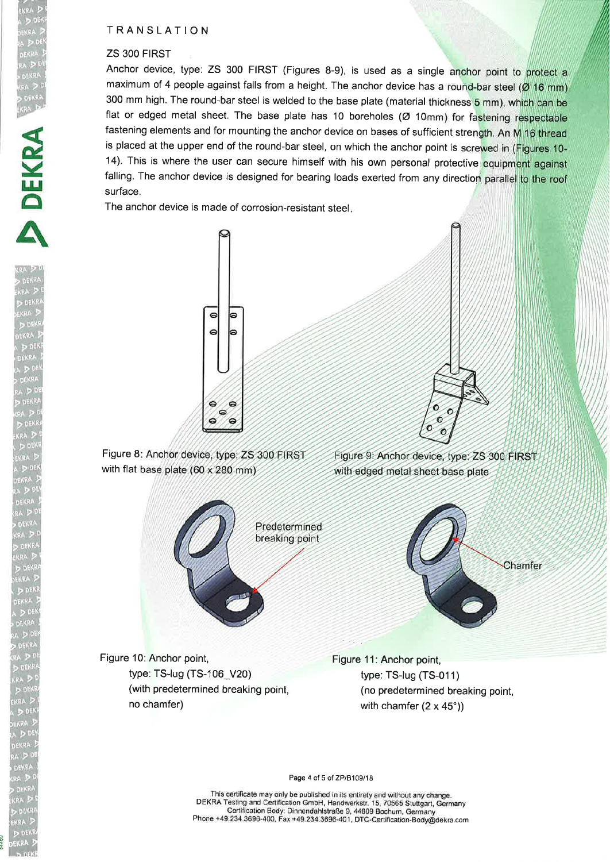#### ZS 3OO FIRST

DOEKRA<br>FKRA P

E

**DEKE** 

A

DEKRA

Anchor device, type: ZS 300 FIRST (Figures 8-9), is used as a single anchor point to protect a maximum of 4 people against falls from a height. The anchor device has a round-bar steel  $(Ø16$  mm) 300 mm high. The round-bar steel is welded to the base plate (material thickness 5 mm), which can be flat or edged metal sheet. The base plate has 10 boreholes (Ø 10mm) for fastening respectable fastening elements and for mounting the anchor device on bases of sufficient strength. An M 16 thread is placed at the upper end of the round-bar steel, on which the anchor point is screwed in (Figures 10-14). This is where the user can secure himself with his own personal protective equipment against falling. The anchor device is designed for bearing loads exerted from any direction parallel to the roof surface.

The anchor device is made of corrosion-resistant steel





Figure 8: Anchor device, type: ZS 300 FIRST with flat base plate  $(60 \times 280 \text{ mm})$ 

Figure 9: Anchor device, type: ZS 300 FIRST with edged metal sheet base plate



Figure 10: Anchor point, type: TS-lug (TS-106\_V20) (with predetermined breaking point, no chamfer)

Figure 11: Anchor point, type: TS-lug (TS-011) (no predetermined breaking point, with chamfer  $(2 \times 45^{\circ})$ )

Page 4 of 5 of ZP/B109/18

This certificate may only be published in its entirety and without any change. DEKRA Testing and Certification GmbH, Handwerkstr. 15, 70565 Stuttgart, Germany Certification Body: Dinnendahlstraße 9, 44809 Bochum, Germany Phone +49.234.3696-400, Fax +49.234.3696-401, DTC-Certification-Body@dekra.com